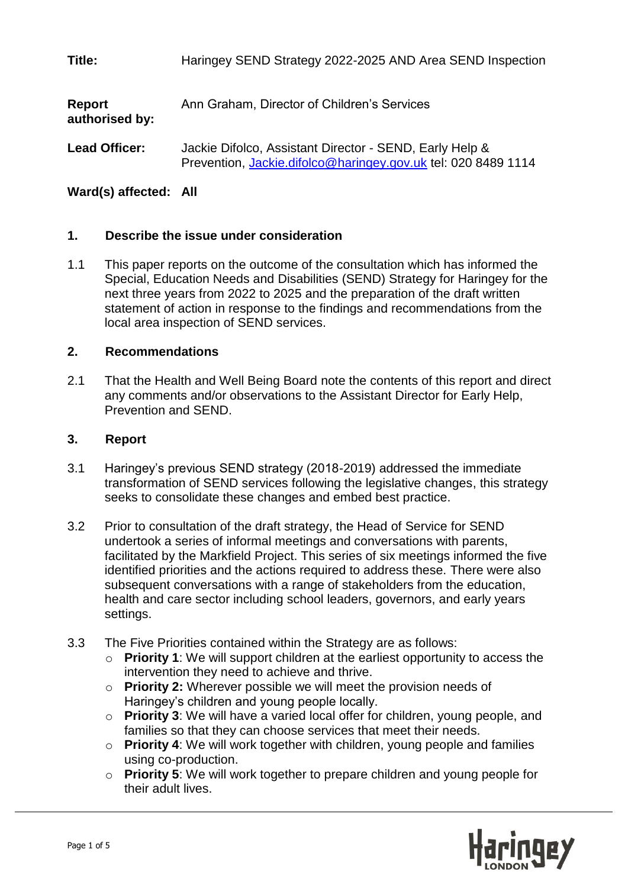**Title:** Haringey SEND Strategy 2022-2025 AND Area SEND Inspection

| Report<br>authorised by: | Ann Graham, Director of Children's Services                                                                              |
|--------------------------|--------------------------------------------------------------------------------------------------------------------------|
| <b>Lead Officer:</b>     | Jackie Difolco, Assistant Director - SEND, Early Help &<br>Prevention, Jackie.difolco@haringey.gov.uk tel: 020 8489 1114 |

# **Ward(s) affected: All**

# **1. Describe the issue under consideration**

1.1 This paper reports on the outcome of the consultation which has informed the Special, Education Needs and Disabilities (SEND) Strategy for Haringey for the next three years from 2022 to 2025 and the preparation of the draft written statement of action in response to the findings and recommendations from the local area inspection of SEND services.

# **2. Recommendations**

2.1 That the Health and Well Being Board note the contents of this report and direct any comments and/or observations to the Assistant Director for Early Help, Prevention and SEND.

### **3. Report**

- 3.1 Haringey's previous SEND strategy (2018-2019) addressed the immediate transformation of SEND services following the legislative changes, this strategy seeks to consolidate these changes and embed best practice.
- 3.2 Prior to consultation of the draft strategy, the Head of Service for SEND undertook a series of informal meetings and conversations with parents, facilitated by the Markfield Project. This series of six meetings informed the five identified priorities and the actions required to address these. There were also subsequent conversations with a range of stakeholders from the education, health and care sector including school leaders, governors, and early years settings.
- 3.3 The Five Priorities contained within the Strategy are as follows:
	- o **Priority 1**: We will support children at the earliest opportunity to access the intervention they need to achieve and thrive.
	- o **Priority 2:** Wherever possible we will meet the provision needs of Haringey's children and young people locally.
	- o **Priority 3**: We will have a varied local offer for children, young people, and families so that they can choose services that meet their needs.
	- o **Priority 4**: We will work together with children, young people and families using co-production.
	- o **Priority 5**: We will work together to prepare children and young people for their adult lives.

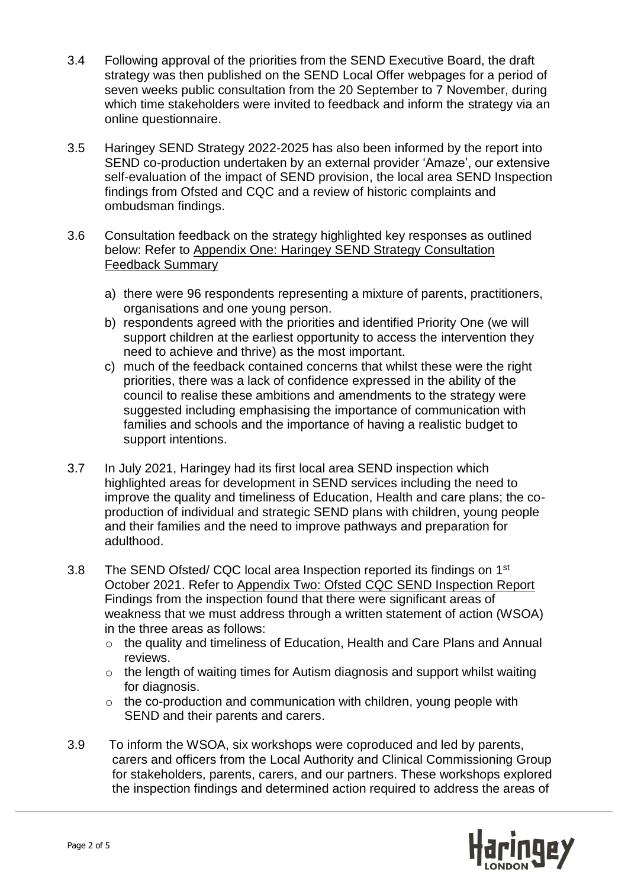- 3.4 Following approval of the priorities from the SEND Executive Board, the draft strategy was then published on the SEND Local Offer webpages for a period of seven weeks public consultation from the 20 September to 7 November, during which time stakeholders were invited to feedback and inform the strategy via an online questionnaire.
- 3.5 Haringey SEND Strategy 2022-2025 has also been informed by the report into SEND co-production undertaken by an external provider 'Amaze', our extensive self-evaluation of the impact of SEND provision, the local area SEND Inspection findings from Ofsted and CQC and a review of historic complaints and ombudsman findings.
- 3.6 Consultation feedback on the strategy highlighted key responses as outlined below: Refer to Appendix One: Haringey SEND Strategy Consultation Feedback Summary
	- a) there were 96 respondents representing a mixture of parents, practitioners, organisations and one young person.
	- b) respondents agreed with the priorities and identified Priority One (we will support children at the earliest opportunity to access the intervention they need to achieve and thrive) as the most important.
	- c) much of the feedback contained concerns that whilst these were the right priorities, there was a lack of confidence expressed in the ability of the council to realise these ambitions and amendments to the strategy were suggested including emphasising the importance of communication with families and schools and the importance of having a realistic budget to support intentions.
- 3.7 In July 2021, Haringey had its first local area SEND inspection which highlighted areas for development in SEND services including the need to improve the quality and timeliness of Education, Health and care plans; the coproduction of individual and strategic SEND plans with children, young people and their families and the need to improve pathways and preparation for adulthood.
- 3.8 The SEND Ofsted/ CQC local area Inspection reported its findings on 1<sup>st</sup> October 2021. Refer to Appendix Two: Ofsted CQC SEND Inspection Report Findings from the inspection found that there were significant areas of weakness that we must address through a written statement of action (WSOA) in the three areas as follows:
	- o the quality and timeliness of Education, Health and Care Plans and Annual reviews.
	- o the length of waiting times for Autism diagnosis and support whilst waiting for diagnosis.
	- $\circ$  the co-production and communication with children, young people with SEND and their parents and carers.
- 3.9 To inform the WSOA, six workshops were coproduced and led by parents, carers and officers from the Local Authority and Clinical Commissioning Group for stakeholders, parents, carers, and our partners. These workshops explored the inspection findings and determined action required to address the areas of

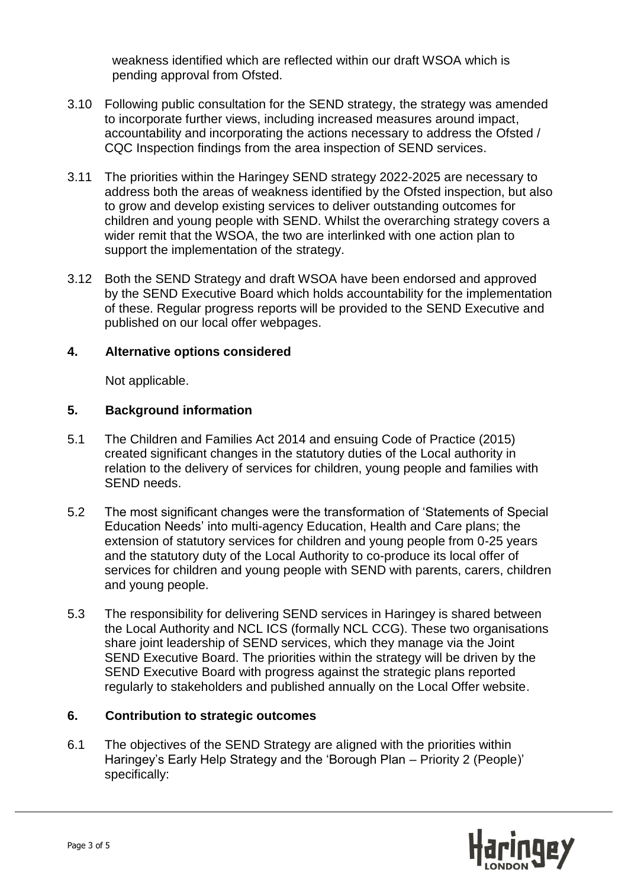weakness identified which are reflected within our draft WSOA which is pending approval from Ofsted.

- 3.10 Following public consultation for the SEND strategy, the strategy was amended to incorporate further views, including increased measures around impact, accountability and incorporating the actions necessary to address the Ofsted / CQC Inspection findings from the area inspection of SEND services.
- 3.11 The priorities within the Haringey SEND strategy 2022-2025 are necessary to address both the areas of weakness identified by the Ofsted inspection, but also to grow and develop existing services to deliver outstanding outcomes for children and young people with SEND. Whilst the overarching strategy covers a wider remit that the WSOA, the two are interlinked with one action plan to support the implementation of the strategy.
- 3.12 Both the SEND Strategy and draft WSOA have been endorsed and approved by the SEND Executive Board which holds accountability for the implementation of these. Regular progress reports will be provided to the SEND Executive and published on our local offer webpages.

# **4. Alternative options considered**

Not applicable.

# **5. Background information**

- 5.1 The Children and Families Act 2014 and ensuing Code of Practice (2015) created significant changes in the statutory duties of the Local authority in relation to the delivery of services for children, young people and families with SEND needs.
- 5.2 The most significant changes were the transformation of 'Statements of Special Education Needs' into multi-agency Education, Health and Care plans; the extension of statutory services for children and young people from 0-25 years and the statutory duty of the Local Authority to co-produce its local offer of services for children and young people with SEND with parents, carers, children and young people.
- 5.3 The responsibility for delivering SEND services in Haringey is shared between the Local Authority and NCL ICS (formally NCL CCG). These two organisations share joint leadership of SEND services, which they manage via the Joint SEND Executive Board. The priorities within the strategy will be driven by the SEND Executive Board with progress against the strategic plans reported regularly to stakeholders and published annually on the Local Offer website.

# **6. Contribution to strategic outcomes**

6.1 The objectives of the SEND Strategy are aligned with the priorities within Haringey's Early Help Strategy and the 'Borough Plan – Priority 2 (People)' specifically:

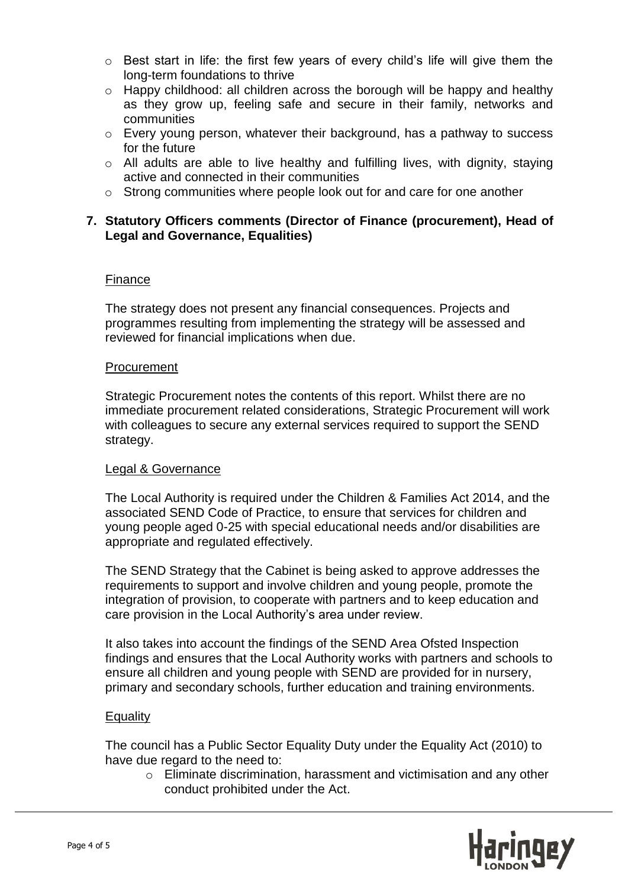- o Best start in life: the first few years of every child's life will give them the long-term foundations to thrive
- o Happy childhood: all children across the borough will be happy and healthy as they grow up, feeling safe and secure in their family, networks and communities
- o Every young person, whatever their background, has a pathway to success for the future
- o All adults are able to live healthy and fulfilling lives, with dignity, staying active and connected in their communities
- o Strong communities where people look out for and care for one another

### **7. Statutory Officers comments (Director of Finance (procurement), Head of Legal and Governance, Equalities)**

#### Finance

The strategy does not present any financial consequences. Projects and programmes resulting from implementing the strategy will be assessed and reviewed for financial implications when due.

#### Procurement

Strategic Procurement notes the contents of this report. Whilst there are no immediate procurement related considerations, Strategic Procurement will work with colleagues to secure any external services required to support the SEND strategy.

#### Legal & Governance

The Local Authority is required under the Children & Families Act 2014, and the associated SEND Code of Practice, to ensure that services for children and young people aged 0-25 with special educational needs and/or disabilities are appropriate and regulated effectively.

The SEND Strategy that the Cabinet is being asked to approve addresses the requirements to support and involve children and young people, promote the integration of provision, to cooperate with partners and to keep education and care provision in the Local Authority's area under review.

It also takes into account the findings of the SEND Area Ofsted Inspection findings and ensures that the Local Authority works with partners and schools to ensure all children and young people with SEND are provided for in nursery, primary and secondary schools, further education and training environments.

#### **Equality**

The council has a Public Sector Equality Duty under the Equality Act (2010) to have due regard to the need to:

o Eliminate discrimination, harassment and victimisation and any other conduct prohibited under the Act.